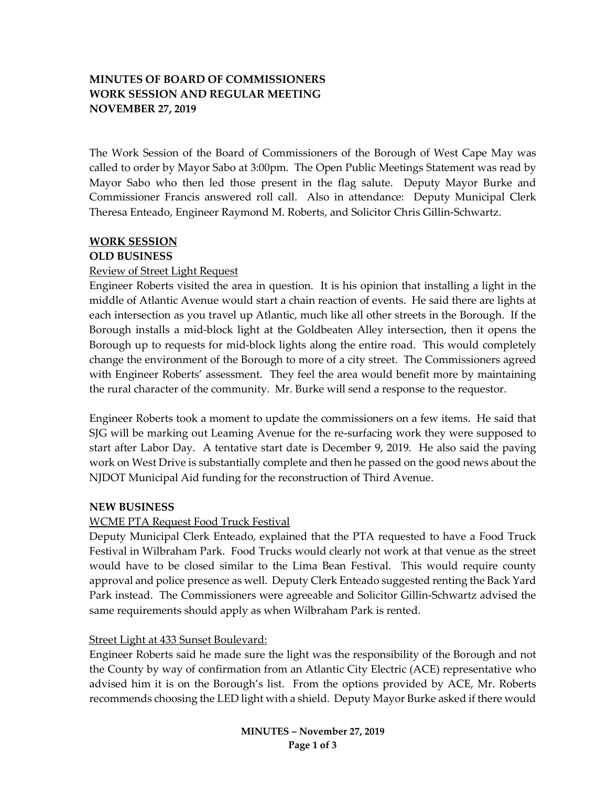# **MINUTES OF BOARD OF COMMISSIONERS WORK SESSION AND REGULAR MEETING NOVEMBER 27, 2019**

The Work Session of the Board of Commissioners of the Borough of West Cape May was called to order by Mayor Sabo at 3:00pm. The Open Public Meetings Statement was read by Mayor Sabo who then led those present in the flag salute. Deputy Mayor Burke and Commissioner Francis answered roll call. Also in attendance: Deputy Municipal Clerk Theresa Enteado, Engineer Raymond M. Roberts, and Solicitor Chris Gillin-Schwartz.

## **WORK SESSION**

## **OLD BUSINESS**

## Review of Street Light Request

Engineer Roberts visited the area in question. It is his opinion that installing a light in the middle of Atlantic Avenue would start a chain reaction of events. He said there are lights at each intersection as you travel up Atlantic, much like all other streets in the Borough. If the Borough installs a mid-block light at the Goldbeaten Alley intersection, then it opens the Borough up to requests for mid-block lights along the entire road. This would completely change the environment of the Borough to more of a city street. The Commissioners agreed with Engineer Roberts' assessment. They feel the area would benefit more by maintaining the rural character of the community. Mr. Burke will send a response to the requestor.

Engineer Roberts took a moment to update the commissioners on a few items. He said that SJG will be marking out Leaming Avenue for the re-surfacing work they were supposed to start after Labor Day. A tentative start date is December 9, 2019. He also said the paving work on West Drive is substantially complete and then he passed on the good news about the NJDOT Municipal Aid funding for the reconstruction of Third Avenue.

## **NEW BUSINESS**

## WCME PTA Request Food Truck Festival

Deputy Municipal Clerk Enteado, explained that the PTA requested to have a Food Truck Festival in Wilbraham Park. Food Trucks would clearly not work at that venue as the street would have to be closed similar to the Lima Bean Festival. This would require county approval and police presence as well. Deputy Clerk Enteado suggested renting the Back Yard Park instead. The Commissioners were agreeable and Solicitor Gillin-Schwartz advised the same requirements should apply as when Wilbraham Park is rented.

## Street Light at 433 Sunset Boulevard:

Engineer Roberts said he made sure the light was the responsibility of the Borough and not the County by way of confirmation from an Atlantic City Electric (ACE) representative who advised him it is on the Borough's list. From the options provided by ACE, Mr. Roberts recommends choosing the LED light with a shield. Deputy Mayor Burke asked if there would

> **MINUTES – November 27, 2019 Page 1 of 3**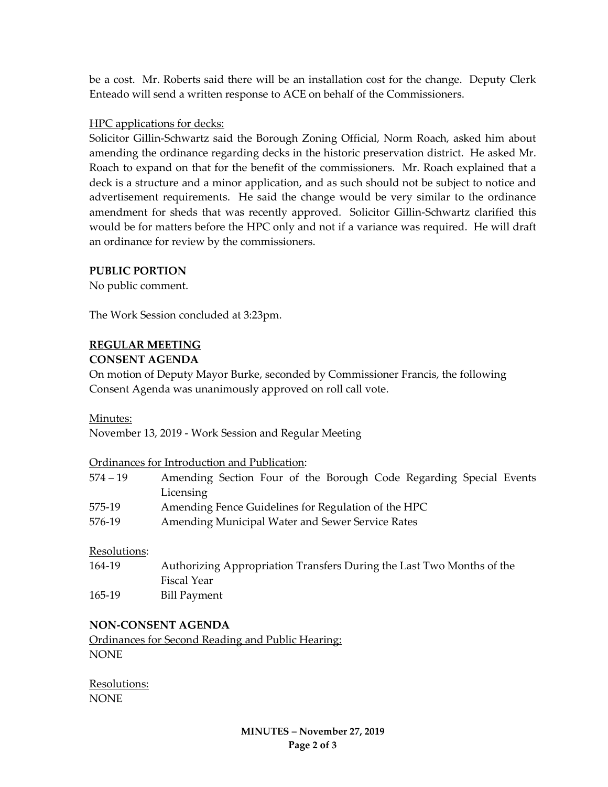be a cost. Mr. Roberts said there will be an installation cost for the change. Deputy Clerk Enteado will send a written response to ACE on behalf of the Commissioners.

## HPC applications for decks:

Solicitor Gillin-Schwartz said the Borough Zoning Official, Norm Roach, asked him about amending the ordinance regarding decks in the historic preservation district. He asked Mr. Roach to expand on that for the benefit of the commissioners. Mr. Roach explained that a deck is a structure and a minor application, and as such should not be subject to notice and advertisement requirements. He said the change would be very similar to the ordinance amendment for sheds that was recently approved. Solicitor Gillin-Schwartz clarified this would be for matters before the HPC only and not if a variance was required. He will draft an ordinance for review by the commissioners.

## **PUBLIC PORTION**

No public comment.

The Work Session concluded at 3:23pm.

## **REGULAR MEETING**

## **CONSENT AGENDA**

On motion of Deputy Mayor Burke, seconded by Commissioner Francis, the following Consent Agenda was unanimously approved on roll call vote.

## Minutes:

November 13, 2019 - Work Session and Regular Meeting

Ordinances for Introduction and Publication:

| $574 - 19$ | Amending Section Four of the Borough Code Regarding Special Events |
|------------|--------------------------------------------------------------------|
|            | Licensing                                                          |
| 575-19     | Amending Fence Guidelines for Regulation of the HPC                |

576-19 Amending Municipal Water and Sewer Service Rates

Resolutions:

164-19 Authorizing Appropriation Transfers During the Last Two Months of the Fiscal Year 165-19 Bill Payment

## **NON-CONSENT AGENDA**

Ordinances for Second Reading and Public Hearing: NONE

Resolutions: NONE